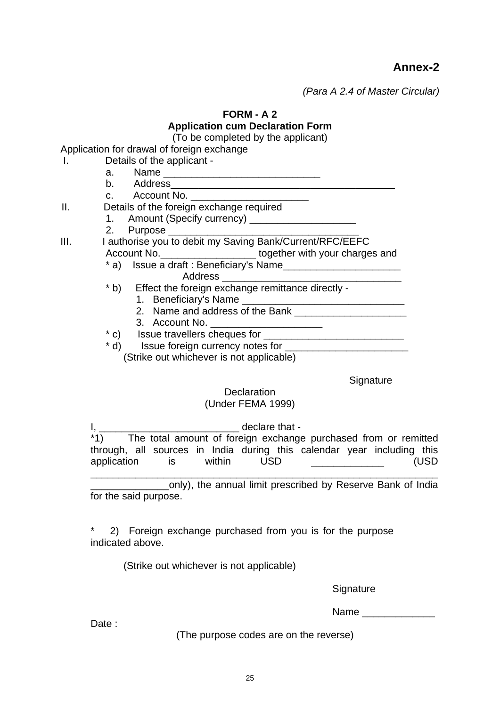**Annex-2** 

*(Para A 2.4 of Master Circular)* 

**FORM - A 2** 

# **Application cum Declaration Form**

(To be completed by the applicant)

Application for drawal of foreign exchange

- I. Details of the applicant -
- a. Name \_\_\_\_\_\_\_\_\_\_\_\_\_\_\_\_\_\_\_\_\_\_\_\_\_\_\_\_ b. Address\_\_\_\_\_\_\_\_\_\_\_\_\_\_\_\_\_\_\_\_\_\_\_\_\_\_\_\_\_\_\_\_\_\_\_\_\_\_\_\_ c. Account No. II. Details of the foreign exchange required 1. Amount (Specify currency) \_\_\_\_\_\_\_\_\_\_\_\_\_\_\_\_\_\_\_ 2. Purpose \_\_\_\_\_\_ III. I authorise you to debit my Saving Bank/Current/RFC/EEFC Account No. **Exercise 2** together with your charges and \* a) Issue a draft : Beneficiary's Name\_\_\_\_\_\_\_\_\_\_\_\_\_\_\_\_\_\_\_\_\_ Address \* b) Effect the foreign exchange remittance directly - 1. Beneficiary's Name 2. Name and address of the Bank
	- 3. Account No.
	- \* c) Issue travellers cheques for \_\_\_\_\_\_\_\_\_\_\_\_\_\_\_\_\_\_\_\_\_\_\_\_\_
	- \* d) Issue foreign currency notes for \_\_\_\_\_\_\_\_\_\_\_\_\_\_\_\_\_\_\_\_\_\_

(Strike out whichever is not applicable)

**Signature** 

# **Declaration**

# (Under FEMA 1999)

I, \_\_\_\_\_\_\_\_\_\_\_\_\_\_\_\_\_\_\_\_\_\_\_\_\_\_\_\_\_\_ declare that -\*1) The total amount of foreign exchange purchased from or remitted through, all sources in India during this calendar year including this application is within USD **CONFIDENT** (USD

\_\_\_\_\_\_\_\_\_\_\_\_\_\_\_\_\_\_\_\_\_\_\_\_\_\_\_\_\_\_\_\_\_\_\_\_\_\_\_\_\_\_\_\_\_\_\_\_\_\_\_\_\_\_\_\_\_\_\_\_\_\_ \_\_\_\_\_\_\_\_\_\_\_\_\_\_only), the annual limit prescribed by Reserve Bank of India for the said purpose.

2) Foreign exchange purchased from you is for the purpose indicated above.

(Strike out whichever is not applicable)

**Signature** 

Name **and the set of the set of the set of the set of the set of the set of the set of the set of the set of the set of the set of the set of the set of the set of the set of the set of the set of the set of the set of the** 

Date:

(The purpose codes are on the reverse)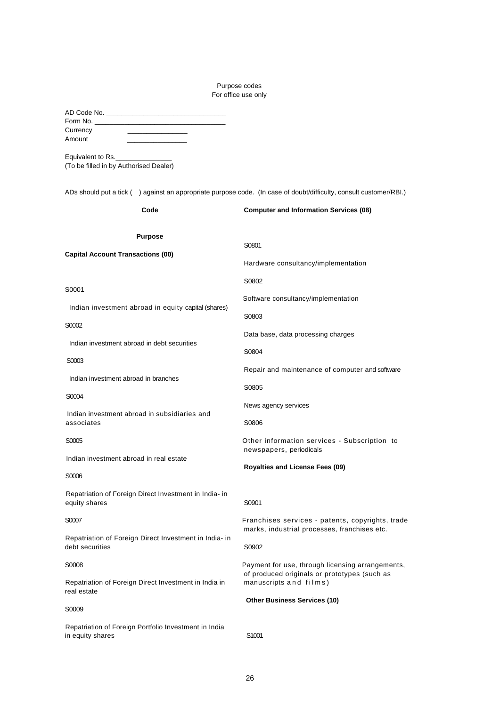# Purpose codes For office use only

| Currency<br>Amount<br>Equivalent to Rs.<br>(To be filled in by Authorised Dealer)<br>ADs should put a tick () against an appropriate purpose code. (In case of doubt/difficulty, consult customer/RBI.) |                                                                                                  |
|---------------------------------------------------------------------------------------------------------------------------------------------------------------------------------------------------------|--------------------------------------------------------------------------------------------------|
| Code                                                                                                                                                                                                    | <b>Computer and Information Services (08)</b>                                                    |
|                                                                                                                                                                                                         |                                                                                                  |
| <b>Purpose</b><br><b>Capital Account Transactions (00)</b>                                                                                                                                              | S0801                                                                                            |
|                                                                                                                                                                                                         | Hardware consultancy/implementation                                                              |
|                                                                                                                                                                                                         | S0802                                                                                            |
| S0001                                                                                                                                                                                                   | Software consultancy/implementation                                                              |
| Indian investment abroad in equity capital (shares)                                                                                                                                                     | S0803                                                                                            |
| S0002                                                                                                                                                                                                   | Data base, data processing charges                                                               |
| Indian investment abroad in debt securities                                                                                                                                                             | S0804                                                                                            |
| S0003                                                                                                                                                                                                   | Repair and maintenance of computer and software                                                  |
| Indian investment abroad in branches                                                                                                                                                                    | S0805                                                                                            |
| S0004                                                                                                                                                                                                   | News agency services                                                                             |
| Indian investment abroad in subsidiaries and<br>associates                                                                                                                                              | S0806                                                                                            |
| S0005                                                                                                                                                                                                   | Other information services - Subscription to<br>newspapers, periodicals                          |
| Indian investment abroad in real estate                                                                                                                                                                 | <b>Royalties and License Fees (09)</b>                                                           |
| S0006                                                                                                                                                                                                   |                                                                                                  |
| Repatriation of Foreign Direct Investment in India- in<br>equity shares                                                                                                                                 | S0901                                                                                            |
| S0007                                                                                                                                                                                                   | Franchises services - patents, copyrights, trade<br>marks, industrial processes, franchises etc. |
| Repatriation of Foreign Direct Investment in India- in<br>debt securities                                                                                                                               | S0902                                                                                            |
| S0008                                                                                                                                                                                                   | Payment for use, through licensing arrangements,                                                 |
| Repatriation of Foreign Direct Investment in India in<br>real estate                                                                                                                                    | of produced originals or prototypes (such as<br>manuscripts and films)                           |
| S0009                                                                                                                                                                                                   | <b>Other Business Services (10)</b>                                                              |
| Repatriation of Foreign Portfolio Investment in India<br>in equity shares                                                                                                                               | S <sub>1001</sub>                                                                                |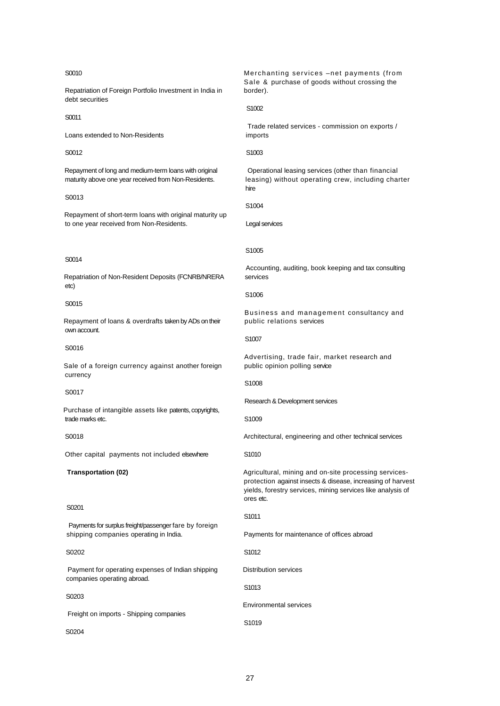#### S0010

Repatriation of Foreign Portfolio Investment in India in debt securities

S0011

Loans extended to Non-Residents

S0012

Repayment of long and medium-term loans with original maturity above one year received from Non-Residents.

S0013

Repayment of short-term loans with original maturity up to one year received from Non-Residents.

#### S0014

Repatriation of Non-Resident Deposits (FCNRB/NRERA etc)

#### S0015

Repayment of loans & overdrafts taken by ADs on their own account.

#### S0016

Sale of a foreign currency against another foreign currency

#### S0017

Purchase of intangible assets like patents, copyrights, trade marks etc.

## S0018

Other capital payments not included elsewhere

### **Transportation (02)**

#### S<sub>0201</sub>

Payments for surplus freight/passenger fare by foreign shipping companies operating in India.

#### S0202

Payment for operating expenses of Indian shipping companies operating abroad.

#### S0203

Freight on imports - Shipping companies

S<sub>0204</sub>

Merchanting services –net payments (from Sale & purchase of goods without crossing the border).

#### S1002

Trade related services - commission on exports / imports

#### S1003

Operational leasing services (other than financial leasing) without operating crew, including charter hire

S1004

Legal services

#### S1005

Accounting, auditing, book keeping and tax consulting services

#### S1006

Business and management consultancy and public relations services

S1007

Advertising, trade fair, market research and public opinion polling service

#### S1008

Research & Development services

S1009

Architectural, engineering and other technical services

S1010

Agricultural, mining and on-site processing servicesprotection against insects & disease, increasing of harvest yields, forestry services, mining services like analysis of ores etc.

#### S1011

Payments for maintenance of offices abroad

S1012

Distribution services

S1013

Environmental services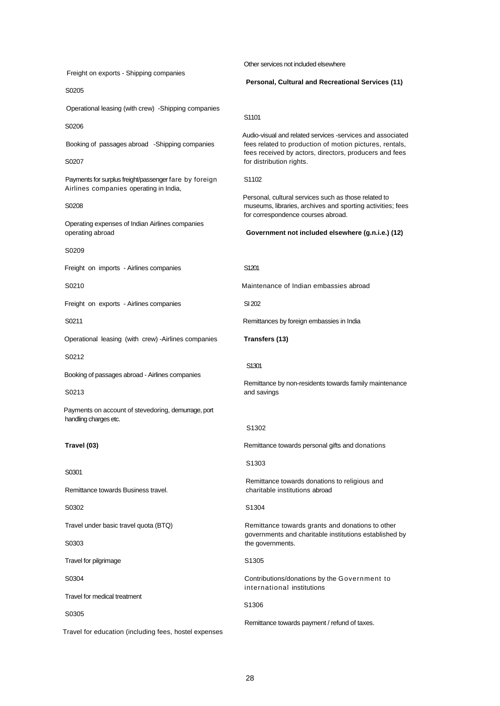Freight on exports - Shipping companies S0205 Operational leasing (with crew) -Shipping companies S0206 Booking of passages abroad -Shipping companies S0207 Payments for surplus freight/passenger fare by foreign Airlines companies operating in India, S0208 Operating expenses of Indian Airlines companies operating abroad S0209 Freight on imports - Airlines companies S0210 Freight on exports - Airlines companies S0211 Operational leasing (with crew) -Airlines companies S0212 Booking of passages abroad - Airlines companies S0213 Payments on account of stevedoring, demurrage, port handling charges etc. **Travel (03)** S0301 Remittance towards Business travel. S0302 Travel under basic travel quota (BTQ) S0303 Travel for pilgrimage S0304 Travel for medical treatment S0305 Travel for education (including fees, hostel expenses Other services not included elsewhere **Personal, Cultural and Recreational Services (11)** S1101 Audio-visual and related services -services and associated fees related to production of motion pictures, rentals, fees received by actors, directors, producers and fees for distribution rights. S1102 Personal, cultural services such as those related to museums, libraries, archives and sporting activities; fees for correspondence courses abroad. **Government not included elsewhere (g.n.i.e.) (12)** S1201 Maintenance of Indian embassies abroad SI 202 Remittances by foreign embassies in India **Transfers (13)** S1301 Remittance by non-residents towards family maintenance and savings S1302 Remittance towards personal gifts and donations S1303 Remittance towards donations to religious and charitable institutions abroad S1304 Remittance towards grants and donations to other governments and charitable institutions established by the governments. S1305 Contributions/donations by the Government to international institutions S1306 Remittance towards payment / refund of taxes.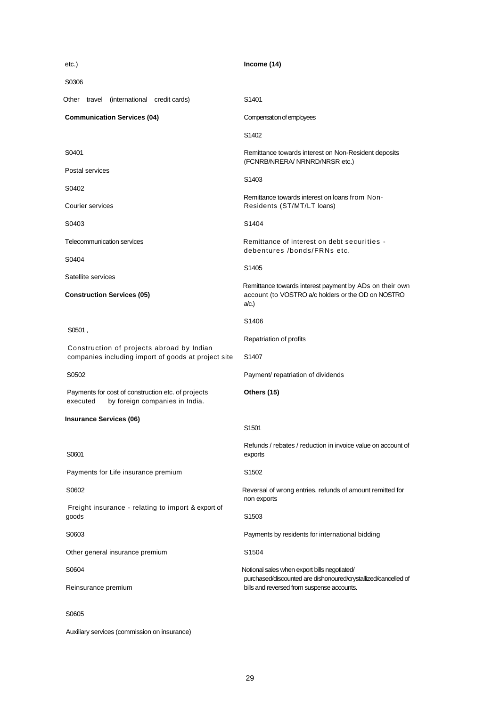| etc.)                                                                                            | Income (14)                                                                                                                                                  |
|--------------------------------------------------------------------------------------------------|--------------------------------------------------------------------------------------------------------------------------------------------------------------|
| S0306                                                                                            |                                                                                                                                                              |
| Other travel (international credit cards)                                                        | S <sub>1401</sub>                                                                                                                                            |
| <b>Communication Services (04)</b>                                                               | Compensation of employees                                                                                                                                    |
|                                                                                                  | S <sub>1402</sub>                                                                                                                                            |
| S0401                                                                                            | Remittance towards interest on Non-Resident deposits<br>(FCNRB/NRERA/ NRNRD/NRSR etc.)                                                                       |
| Postal services                                                                                  | S <sub>1403</sub>                                                                                                                                            |
| S0402                                                                                            | Remittance towards interest on loans from Non-                                                                                                               |
| Courier services                                                                                 | Residents (ST/MT/LT loans)                                                                                                                                   |
| S0403                                                                                            | S1404                                                                                                                                                        |
| <b>Telecommunication services</b>                                                                | Remittance of interest on debt securities -<br>debentures /bonds/FRNs etc.                                                                                   |
| S0404                                                                                            | S1405                                                                                                                                                        |
| Satellite services<br><b>Construction Services (05)</b>                                          | Remittance towards interest payment by ADs on their own<br>account (to VOSTRO a/c holders or the OD on NOSTRO<br>a/c.                                        |
|                                                                                                  | S <sub>1406</sub>                                                                                                                                            |
| S0501,                                                                                           | Repatriation of profits                                                                                                                                      |
| Construction of projects abroad by Indian<br>companies including import of goods at project site | S <sub>140</sub> 7                                                                                                                                           |
| S0502                                                                                            | Payment/ repatriation of dividends                                                                                                                           |
| Payments for cost of construction etc. of projects<br>by foreign companies in India.<br>executed | Others (15)                                                                                                                                                  |
| <b>Insurance Services (06)</b>                                                                   | S <sub>1501</sub>                                                                                                                                            |
| S0601                                                                                            | Refunds / rebates / reduction in invoice value on account of<br>exports                                                                                      |
| Payments for Life insurance premium                                                              | S <sub>1502</sub>                                                                                                                                            |
| S0602                                                                                            | Reversal of wrong entries, refunds of amount remitted for<br>non exports                                                                                     |
| Freight insurance - relating to import & export of<br>goods                                      | S <sub>1503</sub>                                                                                                                                            |
| S0603                                                                                            | Payments by residents for international bidding                                                                                                              |
| Other general insurance premium                                                                  | S1504                                                                                                                                                        |
| S0604                                                                                            | Notional sales when export bills negotiated/<br>purchased/discounted are dishonoured/crystallized/cancelled of<br>bills and reversed from suspense accounts. |
| Reinsurance premium                                                                              |                                                                                                                                                              |
| S0605                                                                                            |                                                                                                                                                              |

Auxiliary services (commission on insurance)